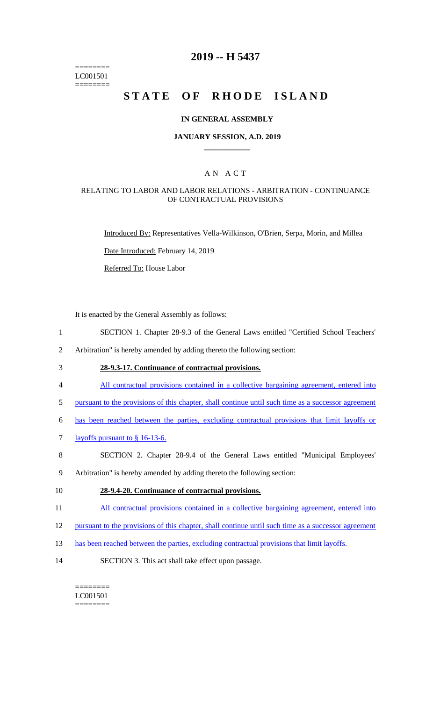======== LC001501 ========

# **2019 -- H 5437**

# **STATE OF RHODE ISLAND**

### **IN GENERAL ASSEMBLY**

### **JANUARY SESSION, A.D. 2019 \_\_\_\_\_\_\_\_\_\_\_\_**

### A N A C T

### RELATING TO LABOR AND LABOR RELATIONS - ARBITRATION - CONTINUANCE OF CONTRACTUAL PROVISIONS

Introduced By: Representatives Vella-Wilkinson, O'Brien, Serpa, Morin, and Millea

Date Introduced: February 14, 2019

Referred To: House Labor

It is enacted by the General Assembly as follows:

- 1 SECTION 1. Chapter 28-9.3 of the General Laws entitled "Certified School Teachers'
- 2 Arbitration" is hereby amended by adding thereto the following section:
- 3 **28-9.3-17. Continuance of contractual provisions.**
- 4 All contractual provisions contained in a collective bargaining agreement, entered into
- 5 pursuant to the provisions of this chapter, shall continue until such time as a successor agreement
- 6 has been reached between the parties, excluding contractual provisions that limit layoffs or
- 7 layoffs pursuant to § 16-13-6.
- 8 SECTION 2. Chapter 28-9.4 of the General Laws entitled "Municipal Employees'
- 9 Arbitration" is hereby amended by adding thereto the following section:
- 10 **28-9.4-20. Continuance of contractual provisions.**
- 11 All contractual provisions contained in a collective bargaining agreement, entered into
- 12 pursuant to the provisions of this chapter, shall continue until such time as a successor agreement
- 13 has been reached between the parties, excluding contractual provisions that limit layoffs.
- 14 SECTION 3. This act shall take effect upon passage.

#### ======== LC001501 ========